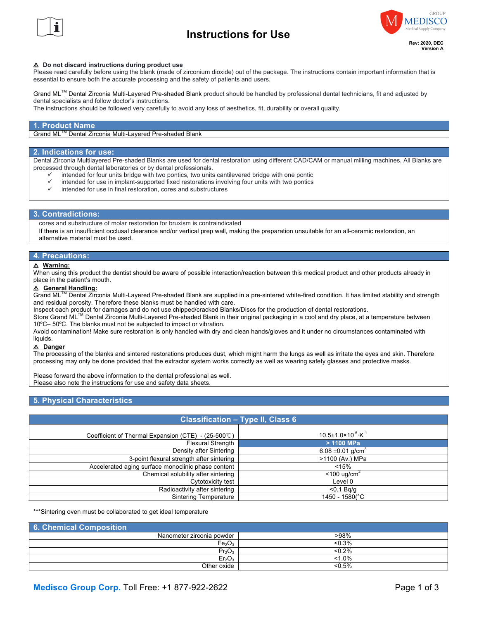

## **Instructions for Use**



#### ! **Do not discard instructions during product use**

Please read carefully before using the blank (made of zirconium dioxide) out of the package. The instructions contain important information that is essential to ensure both the accurate processing and the safety of patients and users.

Grand MLTM Dental Zirconia Multi-Layered Pre-shaded Blank product should be handled by professional dental technicians, fit and adjusted by dental specialists and follow doctor's instructions.

The instructions should be followed very carefully to avoid any loss of aesthetics, fit, durability or overall quality.

#### **1. Product Name**

Grand MLTM Dental Zirconia Multi-Layered Pre-shaded Blank

#### **2. Indications for use:**

Dental Zirconia Multilayered Pre-shaded Blanks are used for dental restoration using different CAD/CAM or manual milling machines. All Blanks are processed through dental laboratories or by dental professionals.

- intended for four units bridge with two pontics, two units cantilevered bridge with one pontic
- intended for use in implant-supported fixed restorations involving four units with two pontics
- $\checkmark$  intended for use in final restoration, cores and substructures

#### **3. Contradictions:**

cores and substructure of molar restoration for bruxism is contraindicated

 If there is an insufficient occlusal clearance and/or vertical prep wall, making the preparation unsuitable for an all-ceramic restoration, an alternative material must be used.

#### **4. Precautions:**

#### ! **Warning:**

When using this product the dentist should be aware of possible interaction/reaction between this medical product and other products already in place in the patient's mouth.

#### ! **General Handling:**

Grand ML<sup>TM</sup> Dental Zirconia Multi-Layered Pre-shaded Blank are supplied in a pre-sintered white-fired condition. It has limited stability and strength and residual porosity. Therefore these blanks must be handled with care.

Inspect each product for damages and do not use chipped/cracked Blanks/Discs for the production of dental restorations.

THE FITH DENTIM Dental Zirconia Multi-Layered Pre-shaded Blank in their original packaging in a cool and dry place, at a temperature between 10ºC– 50ºC. The blanks must not be subjected to impact or vibration.

Avoid contamination! Make sure restoration is only handled with dry and clean hands/gloves and it under no circumstances contaminated with liquids.

#### ! **Danger**

The processing of the blanks and sintered restorations produces dust, which might harm the lungs as well as irritate the eyes and skin. Therefore processing may only be done provided that the extractor system works correctly as well as wearing safety glasses and protective masks.

Please forward the above information to the dental professional as well. Please also note the instructions for use and safety data sheets.

## **5. Physical Characteristics**

## **Classification – Type II, Class 6**

| Coefficient of Thermal Expansion (CTE) - $(25-500^{\circ}C)$ | $10.5 \pm 1.0 \times 10^{-6} \cdot K^{-1}$ |
|--------------------------------------------------------------|--------------------------------------------|
| <b>Flexural Strength</b>                                     | $>$ 1100 MPa                               |
| Density after Sintering                                      | 6.08 $\pm$ 0.01 g/cm <sup>3</sup>          |
| 3-point flexural strength after sintering                    | >1100 (Av.) MPa                            |
| Accelerated aging surface monoclinic phase content           | < 15%                                      |
| Chemical solubility after sintering                          | $<$ 100 ug/cm <sup>2</sup>                 |
| Cytotoxicity test                                            | Level 0                                    |
| Radioactivity after sintering                                | $<$ 0.1 Ba/a                               |
| Sintering Temperature                                        | 1450 - 1580(°C                             |

\*\*\*Sintering oven must be collaborated to get ideal temperature

| 6. Chemical Composition        |           |  |  |  |
|--------------------------------|-----------|--|--|--|
| Nanometer zirconia powder      | >98%      |  |  |  |
| Fe <sub>2</sub> O <sub>3</sub> | < 0.3%    |  |  |  |
| Pr <sub>2</sub> O <sub>3</sub> | < 0.2%    |  |  |  |
| Er <sub>2</sub> O <sub>3</sub> | $< 1.0\%$ |  |  |  |
| Other oxide                    | < 0.5%    |  |  |  |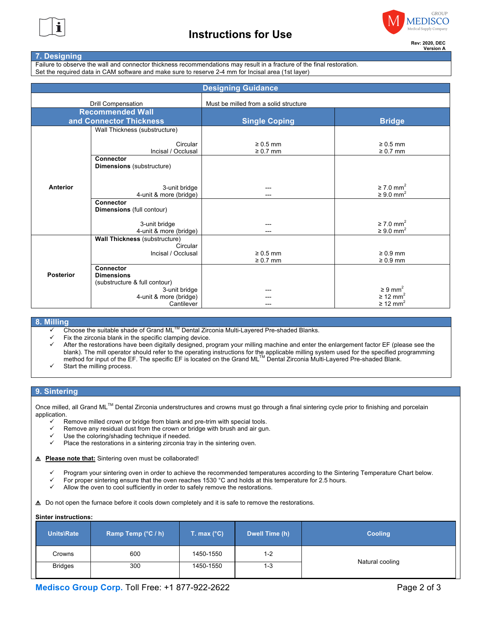



## **Version A**

## **7. Designing**

Failure to observe the wall and connector thickness recommendations may result in a fracture of the final restoration. Set the required data in CAM software and make sure to reserve 2-4 mm for Incisal area (1st layer)

| <b>Designing Guidance</b> |                                                      |                                       |                                                          |
|---------------------------|------------------------------------------------------|---------------------------------------|----------------------------------------------------------|
| <b>Drill Compensation</b> |                                                      | Must be milled from a solid structure |                                                          |
|                           | <b>Recommended Wall</b>                              |                                       |                                                          |
|                           | and Connector Thickness                              | <b>Single Coping</b>                  | <b>Bridge</b>                                            |
|                           | Wall Thickness (substructure)                        |                                       |                                                          |
|                           | Circular<br>Incisal / Occlusal                       | $\geq 0.5$ mm<br>$\geq 0.7$ mm        | $\geq 0.5$ mm<br>$\geq 0.7$ mm                           |
|                           | <b>Connector</b><br><b>Dimensions</b> (substructure) |                                       |                                                          |
| Anterior                  | 3-unit bridge<br>4-unit & more (bridge)              |                                       | $\geq$ 7.0 mm <sup>2</sup><br>$\geq 9.0$ mm <sup>2</sup> |
|                           | Connector<br><b>Dimensions</b> (full contour)        |                                       |                                                          |
|                           | 3-unit bridge<br>4-unit & more (bridge)              |                                       | $\geq$ 7.0 mm <sup>2</sup><br>$\geq 9.0$ mm <sup>2</sup> |
|                           | <b>Wall Thickness (substructure)</b><br>Circular     |                                       |                                                          |
|                           | Incisal / Occlusal                                   | $\geq 0.5$ mm<br>$\geq 0.7$ mm        | $\geq 0.9$ mm<br>$\geq 0.9$ mm                           |
|                           | Connector                                            |                                       |                                                          |
| <b>Posterior</b>          | <b>Dimensions</b>                                    |                                       |                                                          |
|                           | (substructure & full contour)<br>3-unit bridge       |                                       | $\geq 9$ mm <sup>2</sup>                                 |
|                           | 4-unit & more (bridge)                               |                                       | $\geq$ 12 mm <sup>2</sup>                                |
|                           | Cantilever                                           |                                       | $\geq$ 12 mm <sup>2</sup>                                |

## **8. Milling**

- Choose the suitable shade of Grand ML™ Dental Zirconia Multi-Layered Pre-shaded Blanks.
- Fix the zirconia blank in the specific clamping device.
- $\checkmark$  After the restorations have been digitally designed, program your milling machine and enter the enlargement factor EF (please see the blank). The mill operator should refer to the operating instructions for the applicable milling system used for the specified programming<br>method for input of the EF. The specific EF is located on the Grand ML™ Dental Zirc
- Start the milling process.

## **9. Sintering**

Once milled, all Grand ML™ Dental Zirconia understructures and crowns must go through a final sintering cycle prior to finishing and porcelain application.

- $\checkmark$  Remove milled crown or bridge from blank and pre-trim with special tools.
- $\checkmark$  Remove any residual dust from the crown or bridge with brush and air gun.
- Use the coloring/shading technique if needed.
- Place the restorations in a sintering zirconia tray in the sintering oven.
- ! **Please note that:** Sintering oven must be collaborated!
	- Program your sintering oven in order to achieve the recommended temperatures according to the Sintering Temperature Chart below.
	- For proper sintering ensure that the oven reaches 1530 °C and holds at this temperature for 2.5 hours.
	- $\checkmark$  Allow the oven to cool sufficiently in order to safely remove the restorations.

 $\Delta$  Do not open the furnace before it cools down completely and it is safe to remove the restorations.

## **Sinter instructions:**

| Units\Rate     | Ramp Temp $(^{\circ}C / h)$ | T. max $(^{\circ}C)$ | Dwell Time (h) | <b>Cooling</b>  |  |
|----------------|-----------------------------|----------------------|----------------|-----------------|--|
| Crowns         | 600                         | 1450-1550            | 1-2            |                 |  |
| <b>Bridges</b> | 300                         | 1450-1550            | 1-3            | Natural cooling |  |